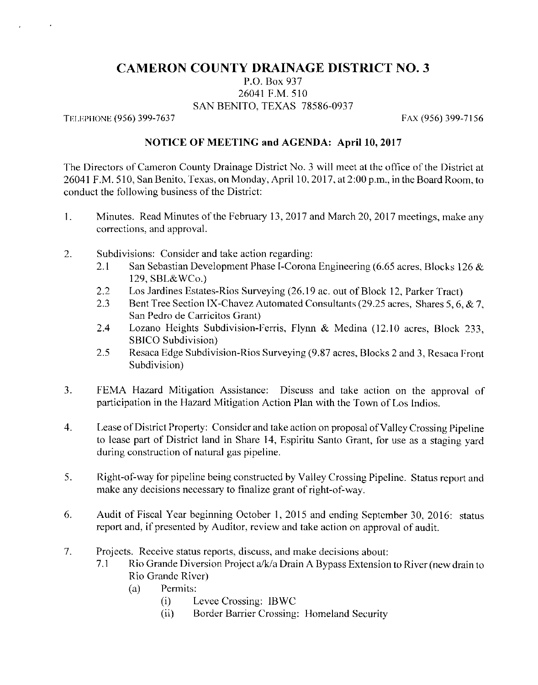## **CAMERON COUNTY DRAINAGE DISTRICT NO. 3**

P.O. Box 937 26041 F.M. 510 SAN BENITO, TEXAS 78586-0937

TELEPHONE (956) 399-7637

FAX (956) 399-7156

## NOTICE OF MEETING and AGENDA: April 10, 2017

The Directors of Cameron County Drainage District No. 3 will meet at the office of the District at 26041 F.M. 510, San Benito, Texas, on Monday, April 10, 2017, at 2:00 p.m., in the Board Room, to conduct the following business of the District:

- $1.$ Minutes. Read Minutes of the February 13, 2017 and March 20, 2017 meetings, make any corrections, and approval.
- $\overline{2}$ . Subdivisions: Consider and take action regarding:
	- San Sebastian Development Phase I-Corona Engineering (6.65 acres, Blocks 126 & 2.1 129, SBL&WCo.)
	- Los Jardines Estates-Rios Surveying (26.19 ac. out of Block 12, Parker Tract)  $2.2$
	- Bent Tree Section IX-Chavez Automated Consultants (29.25 acres, Shares 5, 6, & 7, 2.3 San Pedro de Carricitos Grant)
	- 2.4 Lozano Heights Subdivision-Ferris, Flynn & Medina (12.10 acres, Block 233, SBICO Subdivision)
	- Resaca Edge Subdivision-Rios Surveying (9.87 acres, Blocks 2 and 3, Resaca Front 2.5 Subdivision)
- $3.$ FEMA Hazard Mitigation Assistance: Discuss and take action on the approval of participation in the Hazard Mitigation Action Plan with the Town of Los Indios.
- Lease of District Property: Consider and take action on proposal of Valley Crossing Pipeline  $4.$ to lease part of District land in Share 14, Espiritu Santo Grant, for use as a staging vard during construction of natural gas pipeline.
- Right-of-way for pipeline being constructed by Valley Crossing Pipeline. Status report and 5. make any decisions necessary to finalize grant of right-of-way.
- 6. Audit of Fiscal Year beginning October 1, 2015 and ending September 30, 2016: status report and, if presented by Auditor, review and take action on approval of audit.
- Projects. Receive status reports, discuss, and make decisions about:  $7.$ 
	- Rio Grande Diversion Project a/k/a Drain A Bypass Extension to River (new drain to  $7.1$ Rio Grande River)
		- Permits: (a)
			- $(i)$ Levee Crossing: IBWC
			- Border Barrier Crossing: Homeland Security  $(ii)$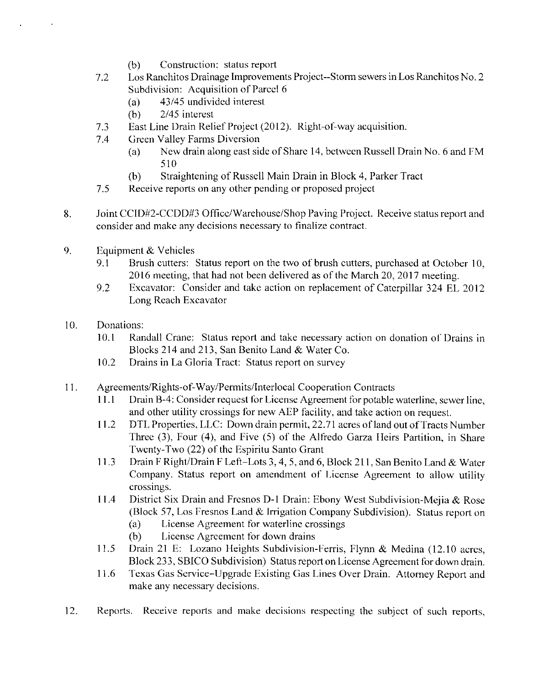- Construction: status report  $(b)$
- Los Ranchitos Drainage Improvements Project--Storm sewers in Los Ranchitos No. 2 7.2 Subdivision: Acquisition of Parcel 6
	- 43/45 undivided interest  $(a)$
	- 2/45 interest  $(b)$
- East Line Drain Relief Project (2012). Right-of-way acquisition. 7.3
- **Green Valley Farms Diversion**  $7.4$ 
	- $(a)$ New drain along east side of Share 14, between Russell Drain No. 6 and FM 510
	- Straightening of Russell Main Drain in Block 4, Parker Tract  $(b)$
- 7.5 Receive reports on any other pending or proposed project
- Joint CCID#2-CCDD#3 Office/Warehouse/Shop Paving Project. Receive status report and 8. consider and make any decisions necessary to finalize contract.
- 9. Equipment & Vehicles
	- 9.1 Brush cutters: Status report on the two of brush cutters, purchased at October 10, 2016 meeting, that had not been delivered as of the March 20, 2017 meeting.
	- 9.2 Excavator: Consider and take action on replacement of Caterpillar 324 EL 2012 Long Reach Excavator
- $10.$ Donations:
	- $10.1$ Randall Crane: Status report and take necessary action on donation of Drains in Blocks 214 and 213, San Benito Land & Water Co.
	- $10.2$ Drains in La Gloria Tract: Status report on survey
- $11.$ Agreements/Rights-of-Way/Permits/Interlocal Cooperation Contracts
	- $11.1$ Drain B-4: Consider request for License Agreement for potable waterline, sewer line. and other utility crossings for new AEP facility, and take action on request.
	- DTL Properties, LLC: Down drain permit, 22.71 acres of land out of Tracts Number 11.2 Three (3), Four (4), and Five (5) of the Alfredo Garza Heirs Partition, in Share Twenty-Two (22) of the Espiritu Santo Grant
	- Drain F Right/Drain F Left-Lots 3, 4, 5, and 6, Block 211, San Benito Land & Water  $11.3$ Company. Status report on amendment of License Agreement to allow utility crossings.
	- 11.4 District Six Drain and Fresnos D-1 Drain: Ebony West Subdivision-Mejia & Rose (Block 57, Los Fresnos Land & Irrigation Company Subdivision). Status report on
		- License Agreement for waterline crossings  $(a)$
		- License Agreement for down drains  $(b)$
	- $11.5$ Drain 21 E: Lozano Heights Subdivision-Ferris, Flynn & Medina (12.10 acres, Block 233, SBICO Subdivision) Status report on License Agreement for down drain.
	- 11.6 Texas Gas Service-Upgrade Existing Gas Lines Over Drain. Attorney Report and make any necessary decisions.
- Reports. Receive reports and make decisions respecting the subject of such reports,  $12.$